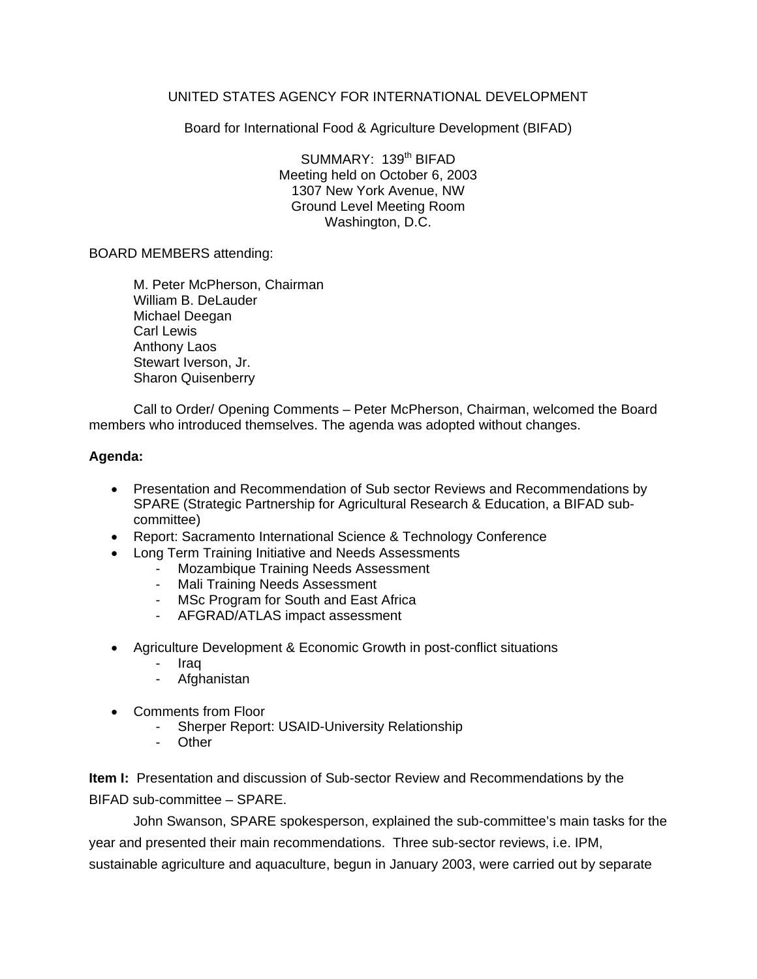## UNITED STATES AGENCY FOR INTERNATIONAL DEVELOPMENT

Board for International Food & Agriculture Development (BIFAD)

SUMMARY: 139<sup>th</sup> BIFAD Meeting held on October 6, 2003 1307 New York Avenue, NW Ground Level Meeting Room Washington, D.C.

## BOARD MEMBERS attending:

M. Peter McPherson, Chairman William B. DeLauder Michael Deegan Carl Lewis Anthony Laos Stewart Iverson, Jr. Sharon Quisenberry

Call to Order/ Opening Comments – Peter McPherson, Chairman, welcomed the Board members who introduced themselves. The agenda was adopted without changes.

## **Agenda:**

- Presentation and Recommendation of Sub sector Reviews and Recommendations by SPARE (Strategic Partnership for Agricultural Research & Education, a BIFAD subcommittee)
- Report: Sacramento International Science & Technology Conference
- Long Term Training Initiative and Needs Assessments
	- Mozambique Training Needs Assessment
	- Mali Training Needs Assessment
	- MSc Program for South and East Africa
	- AFGRAD/ATLAS impact assessment
- Agriculture Development & Economic Growth in post-conflict situations
	- Iraq
	- **Afghanistan**
- Comments from Floor
	- Sherper Report: USAID-University Relationship
	- **Other**

**Item I:** Presentation and discussion of Sub-sector Review and Recommendations by the BIFAD sub-committee – SPARE.

John Swanson, SPARE spokesperson, explained the sub-committee's main tasks for the year and presented their main recommendations. Three sub-sector reviews, i.e. IPM, sustainable agriculture and aquaculture, begun in January 2003, were carried out by separate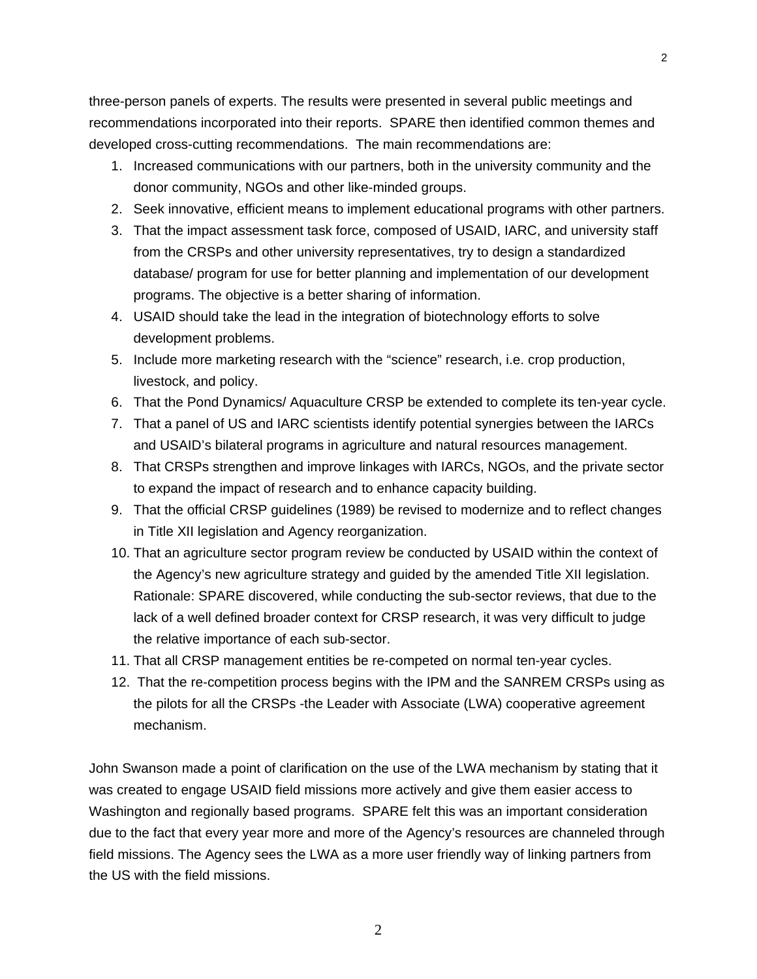three-person panels of experts. The results were presented in several public meetings and recommendations incorporated into their reports. SPARE then identified common themes and developed cross-cutting recommendations. The main recommendations are:

- 1. Increased communications with our partners, both in the university community and the donor community, NGOs and other like-minded groups.
- 2. Seek innovative, efficient means to implement educational programs with other partners.
- 3. That the impact assessment task force, composed of USAID, IARC, and university staff from the CRSPs and other university representatives, try to design a standardized database/ program for use for better planning and implementation of our development programs. The objective is a better sharing of information.
- 4. USAID should take the lead in the integration of biotechnology efforts to solve development problems.
- 5. Include more marketing research with the "science" research, i.e. crop production, livestock, and policy.
- 6. That the Pond Dynamics/ Aquaculture CRSP be extended to complete its ten-year cycle.
- 7. That a panel of US and IARC scientists identify potential synergies between the IARCs and USAID's bilateral programs in agriculture and natural resources management.
- 8. That CRSPs strengthen and improve linkages with IARCs, NGOs, and the private sector to expand the impact of research and to enhance capacity building.
- 9. That the official CRSP guidelines (1989) be revised to modernize and to reflect changes in Title XII legislation and Agency reorganization.
- 10. That an agriculture sector program review be conducted by USAID within the context of the Agency's new agriculture strategy and guided by the amended Title XII legislation. Rationale: SPARE discovered, while conducting the sub-sector reviews, that due to the lack of a well defined broader context for CRSP research, it was very difficult to judge the relative importance of each sub-sector.
- 11. That all CRSP management entities be re-competed on normal ten-year cycles.
- 12. That the re-competition process begins with the IPM and the SANREM CRSPs using as the pilots for all the CRSPs -the Leader with Associate (LWA) cooperative agreement mechanism.

John Swanson made a point of clarification on the use of the LWA mechanism by stating that it was created to engage USAID field missions more actively and give them easier access to Washington and regionally based programs. SPARE felt this was an important consideration due to the fact that every year more and more of the Agency's resources are channeled through field missions. The Agency sees the LWA as a more user friendly way of linking partners from the US with the field missions.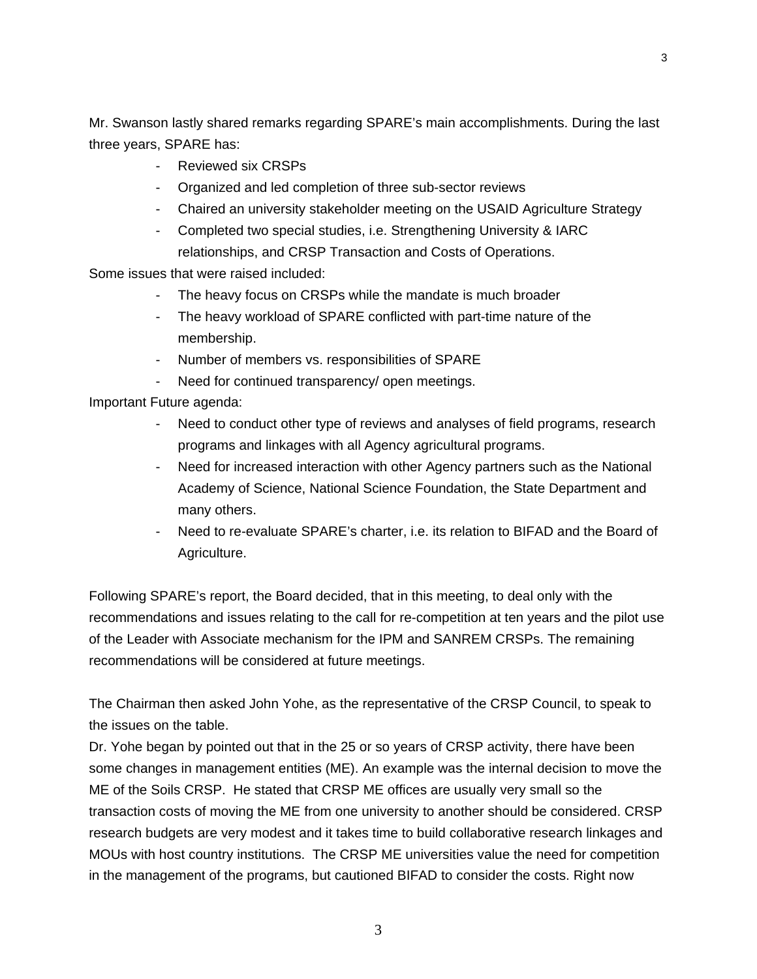Mr. Swanson lastly shared remarks regarding SPARE's main accomplishments. During the last three years, SPARE has:

- Reviewed six CRSPs
- Organized and led completion of three sub-sector reviews
- Chaired an university stakeholder meeting on the USAID Agriculture Strategy
- Completed two special studies, i.e. Strengthening University & IARC relationships, and CRSP Transaction and Costs of Operations.

Some issues that were raised included:

- The heavy focus on CRSPs while the mandate is much broader
- The heavy workload of SPARE conflicted with part-time nature of the membership.
- Number of members vs. responsibilities of SPARE
- Need for continued transparency/ open meetings.

Important Future agenda:

- Need to conduct other type of reviews and analyses of field programs, research programs and linkages with all Agency agricultural programs.
- Need for increased interaction with other Agency partners such as the National Academy of Science, National Science Foundation, the State Department and many others.
- Need to re-evaluate SPARE's charter, i.e. its relation to BIFAD and the Board of Agriculture.

Following SPARE's report, the Board decided, that in this meeting, to deal only with the recommendations and issues relating to the call for re-competition at ten years and the pilot use of the Leader with Associate mechanism for the IPM and SANREM CRSPs. The remaining recommendations will be considered at future meetings.

The Chairman then asked John Yohe, as the representative of the CRSP Council, to speak to the issues on the table.

Dr. Yohe began by pointed out that in the 25 or so years of CRSP activity, there have been some changes in management entities (ME). An example was the internal decision to move the ME of the Soils CRSP. He stated that CRSP ME offices are usually very small so the transaction costs of moving the ME from one university to another should be considered. CRSP research budgets are very modest and it takes time to build collaborative research linkages and MOUs with host country institutions. The CRSP ME universities value the need for competition in the management of the programs, but cautioned BIFAD to consider the costs. Right now

3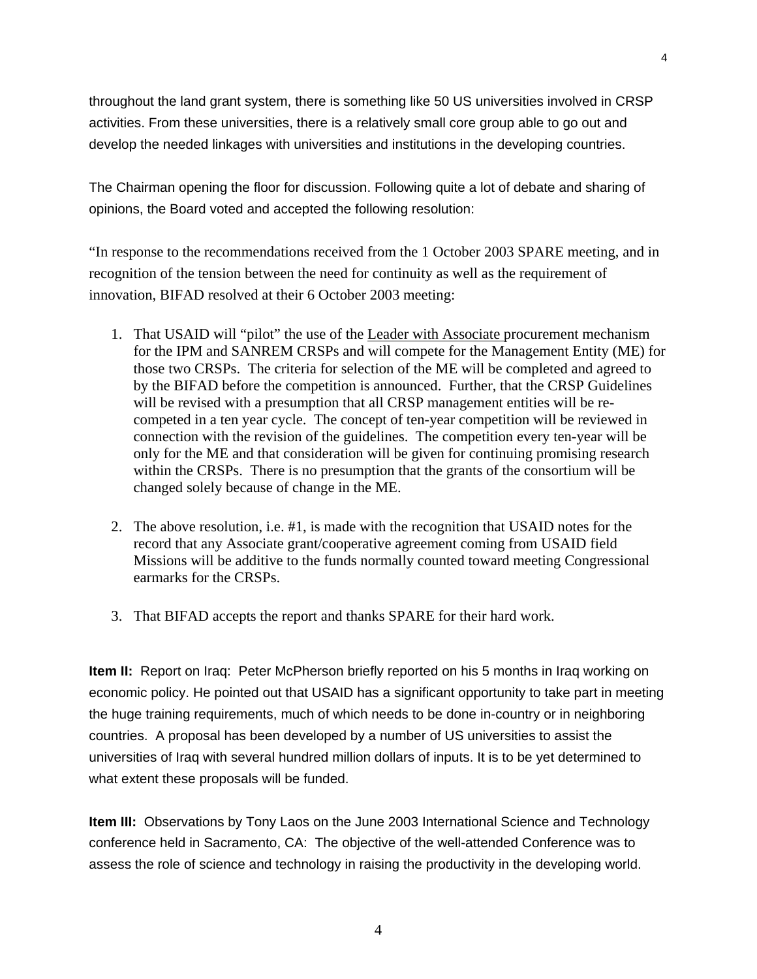throughout the land grant system, there is something like 50 US universities involved in CRSP activities. From these universities, there is a relatively small core group able to go out and develop the needed linkages with universities and institutions in the developing countries.

The Chairman opening the floor for discussion. Following quite a lot of debate and sharing of opinions, the Board voted and accepted the following resolution:

"In response to the recommendations received from the 1 October 2003 SPARE meeting, and in recognition of the tension between the need for continuity as well as the requirement of innovation, BIFAD resolved at their 6 October 2003 meeting:

- 1. That USAID will "pilot" the use of the Leader with Associate procurement mechanism for the IPM and SANREM CRSPs and will compete for the Management Entity (ME) for those two CRSPs. The criteria for selection of the ME will be completed and agreed to by the BIFAD before the competition is announced. Further, that the CRSP Guidelines will be revised with a presumption that all CRSP management entities will be recompeted in a ten year cycle. The concept of ten-year competition will be reviewed in connection with the revision of the guidelines. The competition every ten-year will be only for the ME and that consideration will be given for continuing promising research within the CRSPs. There is no presumption that the grants of the consortium will be changed solely because of change in the ME.
- 2. The above resolution, i.e. #1, is made with the recognition that USAID notes for the record that any Associate grant/cooperative agreement coming from USAID field Missions will be additive to the funds normally counted toward meeting Congressional earmarks for the CRSPs.
- 3. That BIFAD accepts the report and thanks SPARE for their hard work.

**Item II:** Report on Iraq: Peter McPherson briefly reported on his 5 months in Iraq working on economic policy. He pointed out that USAID has a significant opportunity to take part in meeting the huge training requirements, much of which needs to be done in-country or in neighboring countries. A proposal has been developed by a number of US universities to assist the universities of Iraq with several hundred million dollars of inputs. It is to be yet determined to what extent these proposals will be funded.

**Item III:** Observations by Tony Laos on the June 2003 International Science and Technology conference held in Sacramento, CA: The objective of the well-attended Conference was to assess the role of science and technology in raising the productivity in the developing world.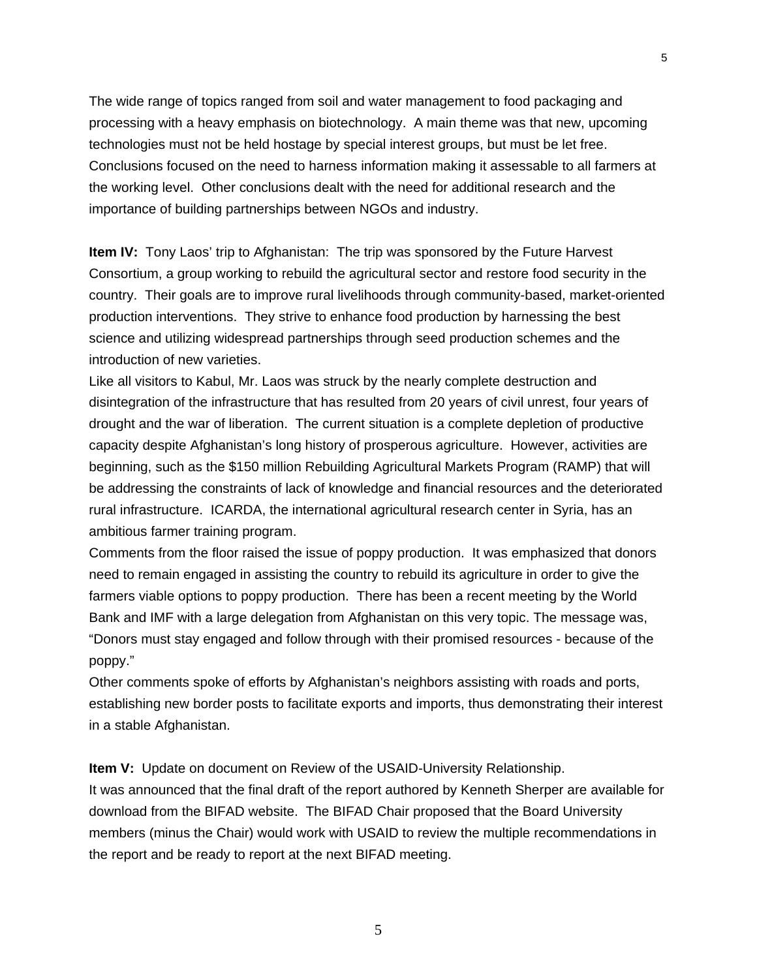The wide range of topics ranged from soil and water management to food packaging and processing with a heavy emphasis on biotechnology. A main theme was that new, upcoming technologies must not be held hostage by special interest groups, but must be let free. Conclusions focused on the need to harness information making it assessable to all farmers at the working level. Other conclusions dealt with the need for additional research and the importance of building partnerships between NGOs and industry.

5

**Item IV:** Tony Laos' trip to Afghanistan: The trip was sponsored by the Future Harvest Consortium, a group working to rebuild the agricultural sector and restore food security in the country. Their goals are to improve rural livelihoods through community-based, market-oriented production interventions. They strive to enhance food production by harnessing the best science and utilizing widespread partnerships through seed production schemes and the introduction of new varieties.

Like all visitors to Kabul, Mr. Laos was struck by the nearly complete destruction and disintegration of the infrastructure that has resulted from 20 years of civil unrest, four years of drought and the war of liberation. The current situation is a complete depletion of productive capacity despite Afghanistan's long history of prosperous agriculture. However, activities are beginning, such as the \$150 million Rebuilding Agricultural Markets Program (RAMP) that will be addressing the constraints of lack of knowledge and financial resources and the deteriorated rural infrastructure. ICARDA, the international agricultural research center in Syria, has an ambitious farmer training program.

Comments from the floor raised the issue of poppy production. It was emphasized that donors need to remain engaged in assisting the country to rebuild its agriculture in order to give the farmers viable options to poppy production. There has been a recent meeting by the World Bank and IMF with a large delegation from Afghanistan on this very topic. The message was, "Donors must stay engaged and follow through with their promised resources - because of the poppy."

Other comments spoke of efforts by Afghanistan's neighbors assisting with roads and ports, establishing new border posts to facilitate exports and imports, thus demonstrating their interest in a stable Afghanistan.

**Item V:** Update on document on Review of the USAID-University Relationship. It was announced that the final draft of the report authored by Kenneth Sherper are available for download from the BIFAD website. The BIFAD Chair proposed that the Board University members (minus the Chair) would work with USAID to review the multiple recommendations in the report and be ready to report at the next BIFAD meeting.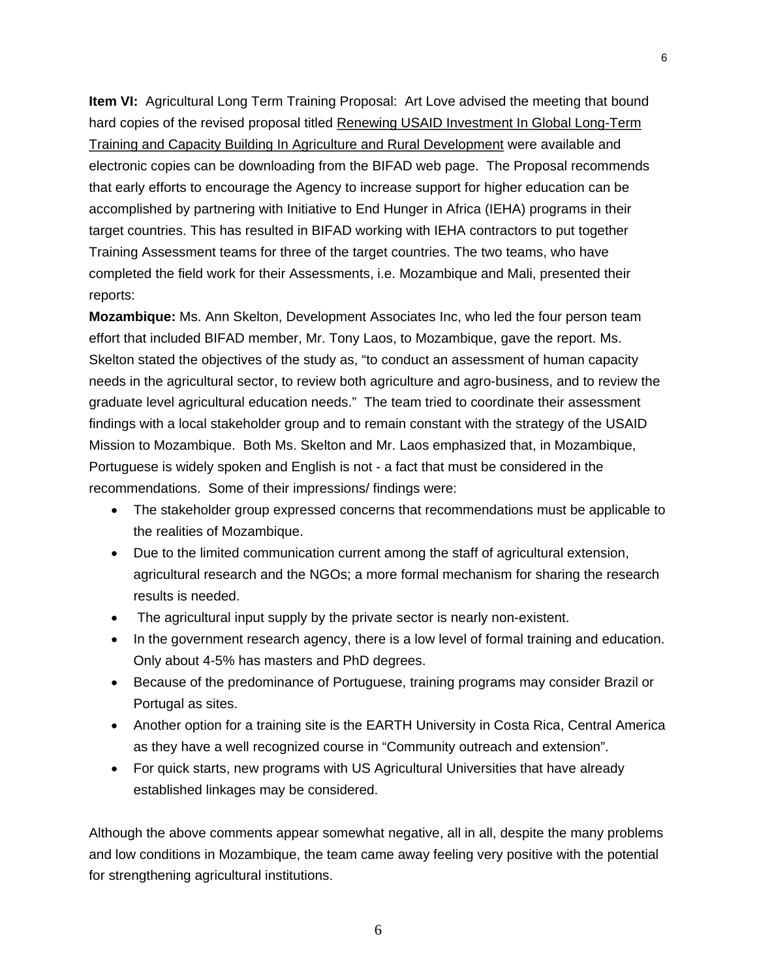**Item VI:** Agricultural Long Term Training Proposal: Art Love advised the meeting that bound hard copies of the revised proposal titled Renewing USAID Investment In Global Long-Term Training and Capacity Building In Agriculture and Rural Development were available and electronic copies can be downloading from the BIFAD web page. The Proposal recommends that early efforts to encourage the Agency to increase support for higher education can be accomplished by partnering with Initiative to End Hunger in Africa (IEHA) programs in their target countries. This has resulted in BIFAD working with IEHA contractors to put together Training Assessment teams for three of the target countries. The two teams, who have completed the field work for their Assessments, i.e. Mozambique and Mali, presented their reports:

**Mozambique:** Ms. Ann Skelton, Development Associates Inc, who led the four person team effort that included BIFAD member, Mr. Tony Laos, to Mozambique, gave the report. Ms. Skelton stated the objectives of the study as, "to conduct an assessment of human capacity needs in the agricultural sector, to review both agriculture and agro-business, and to review the graduate level agricultural education needs." The team tried to coordinate their assessment findings with a local stakeholder group and to remain constant with the strategy of the USAID Mission to Mozambique. Both Ms. Skelton and Mr. Laos emphasized that, in Mozambique, Portuguese is widely spoken and English is not - a fact that must be considered in the recommendations. Some of their impressions/ findings were:

- The stakeholder group expressed concerns that recommendations must be applicable to the realities of Mozambique.
- Due to the limited communication current among the staff of agricultural extension, agricultural research and the NGOs; a more formal mechanism for sharing the research results is needed.
- The agricultural input supply by the private sector is nearly non-existent.
- In the government research agency, there is a low level of formal training and education. Only about 4-5% has masters and PhD degrees.
- Because of the predominance of Portuguese, training programs may consider Brazil or Portugal as sites.
- Another option for a training site is the EARTH University in Costa Rica, Central America as they have a well recognized course in "Community outreach and extension".
- For quick starts, new programs with US Agricultural Universities that have already established linkages may be considered.

Although the above comments appear somewhat negative, all in all, despite the many problems and low conditions in Mozambique, the team came away feeling very positive with the potential for strengthening agricultural institutions.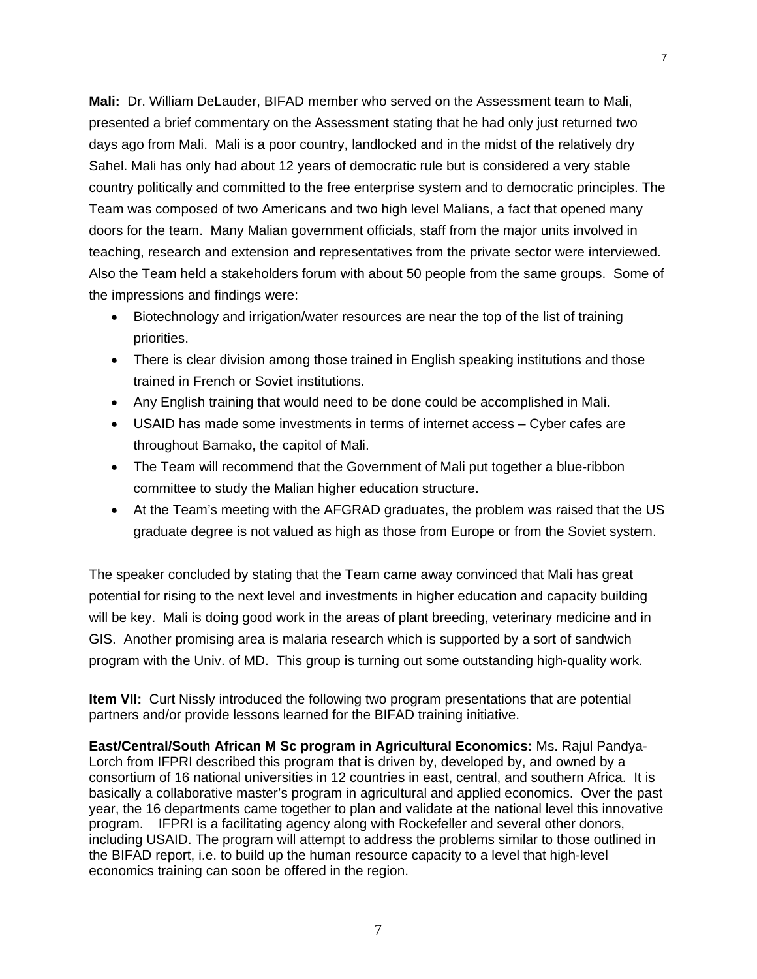**Mali:** Dr. William DeLauder, BIFAD member who served on the Assessment team to Mali, presented a brief commentary on the Assessment stating that he had only just returned two days ago from Mali. Mali is a poor country, landlocked and in the midst of the relatively dry Sahel. Mali has only had about 12 years of democratic rule but is considered a very stable country politically and committed to the free enterprise system and to democratic principles. The Team was composed of two Americans and two high level Malians, a fact that opened many doors for the team. Many Malian government officials, staff from the major units involved in teaching, research and extension and representatives from the private sector were interviewed. Also the Team held a stakeholders forum with about 50 people from the same groups. Some of the impressions and findings were:

- Biotechnology and irrigation/water resources are near the top of the list of training priorities.
- There is clear division among those trained in English speaking institutions and those trained in French or Soviet institutions.
- Any English training that would need to be done could be accomplished in Mali.
- USAID has made some investments in terms of internet access Cyber cafes are throughout Bamako, the capitol of Mali.
- The Team will recommend that the Government of Mali put together a blue-ribbon committee to study the Malian higher education structure.
- At the Team's meeting with the AFGRAD graduates, the problem was raised that the US graduate degree is not valued as high as those from Europe or from the Soviet system.

The speaker concluded by stating that the Team came away convinced that Mali has great potential for rising to the next level and investments in higher education and capacity building will be key. Mali is doing good work in the areas of plant breeding, veterinary medicine and in GIS. Another promising area is malaria research which is supported by a sort of sandwich program with the Univ. of MD. This group is turning out some outstanding high-quality work.

**Item VII:** Curt Nissly introduced the following two program presentations that are potential partners and/or provide lessons learned for the BIFAD training initiative.

**East/Central/South African M Sc program in Agricultural Economics:** Ms. Rajul Pandya-Lorch from IFPRI described this program that is driven by, developed by, and owned by a consortium of 16 national universities in 12 countries in east, central, and southern Africa. It is basically a collaborative master's program in agricultural and applied economics. Over the past year, the 16 departments came together to plan and validate at the national level this innovative program. IFPRI is a facilitating agency along with Rockefeller and several other donors, including USAID. The program will attempt to address the problems similar to those outlined in the BIFAD report, i.e. to build up the human resource capacity to a level that high-level economics training can soon be offered in the region.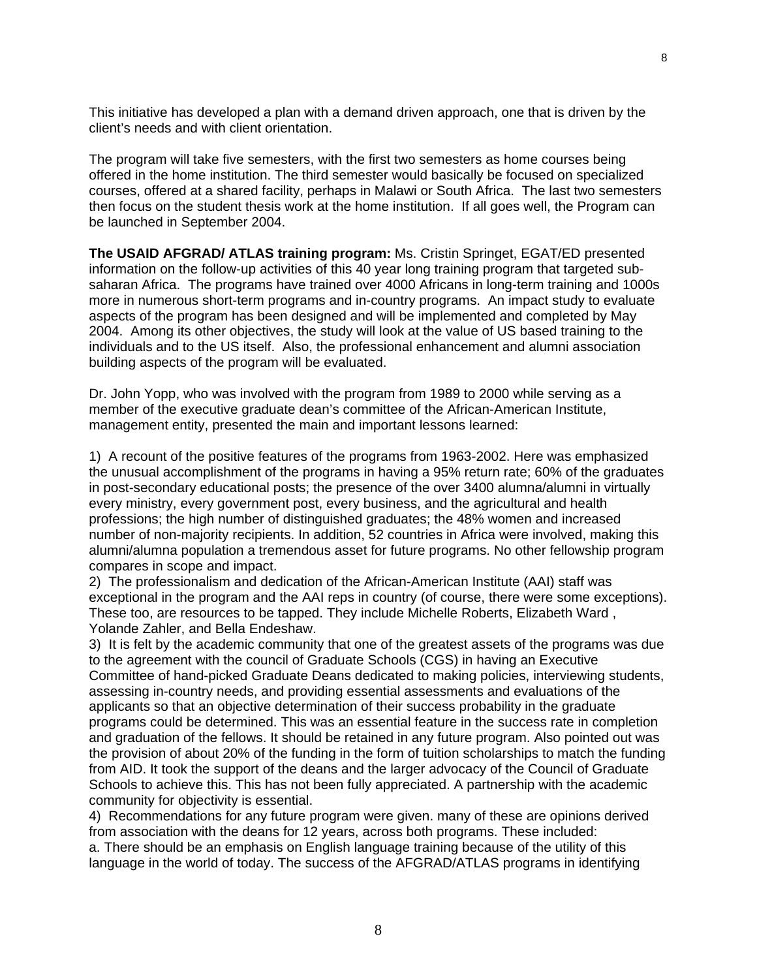This initiative has developed a plan with a demand driven approach, one that is driven by the client's needs and with client orientation.

The program will take five semesters, with the first two semesters as home courses being offered in the home institution. The third semester would basically be focused on specialized courses, offered at a shared facility, perhaps in Malawi or South Africa. The last two semesters then focus on the student thesis work at the home institution. If all goes well, the Program can be launched in September 2004.

**The USAID AFGRAD/ ATLAS training program:** Ms. Cristin Springet, EGAT/ED presented information on the follow-up activities of this 40 year long training program that targeted subsaharan Africa. The programs have trained over 4000 Africans in long-term training and 1000s more in numerous short-term programs and in-country programs. An impact study to evaluate aspects of the program has been designed and will be implemented and completed by May 2004. Among its other objectives, the study will look at the value of US based training to the individuals and to the US itself. Also, the professional enhancement and alumni association building aspects of the program will be evaluated.

Dr. John Yopp, who was involved with the program from 1989 to 2000 while serving as a member of the executive graduate dean's committee of the African-American Institute, management entity, presented the main and important lessons learned:

1) A recount of the positive features of the programs from 1963-2002. Here was emphasized the unusual accomplishment of the programs in having a 95% return rate; 60% of the graduates in post-secondary educational posts; the presence of the over 3400 alumna/alumni in virtually every ministry, every government post, every business, and the agricultural and health professions; the high number of distinguished graduates; the 48% women and increased number of non-majority recipients. In addition, 52 countries in Africa were involved, making this alumni/alumna population a tremendous asset for future programs. No other fellowship program compares in scope and impact.

2) The professionalism and dedication of the African-American Institute (AAI) staff was exceptional in the program and the AAI reps in country (of course, there were some exceptions). These too, are resources to be tapped. They include Michelle Roberts, Elizabeth Ward , Yolande Zahler, and Bella Endeshaw.

3) It is felt by the academic community that one of the greatest assets of the programs was due to the agreement with the council of Graduate Schools (CGS) in having an Executive Committee of hand-picked Graduate Deans dedicated to making policies, interviewing students, assessing in-country needs, and providing essential assessments and evaluations of the applicants so that an objective determination of their success probability in the graduate programs could be determined. This was an essential feature in the success rate in completion and graduation of the fellows. It should be retained in any future program. Also pointed out was the provision of about 20% of the funding in the form of tuition scholarships to match the funding from AID. It took the support of the deans and the larger advocacy of the Council of Graduate Schools to achieve this. This has not been fully appreciated. A partnership with the academic community for objectivity is essential.

4) Recommendations for any future program were given. many of these are opinions derived from association with the deans for 12 years, across both programs. These included: a. There should be an emphasis on English language training because of the utility of this language in the world of today. The success of the AFGRAD/ATLAS programs in identifying